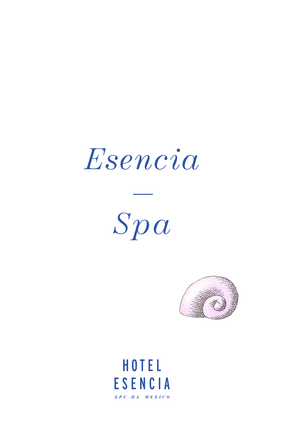# *Esencia*

*Spa*



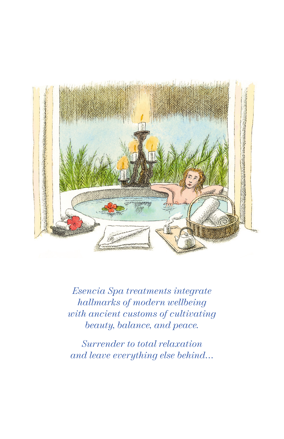

*Esencia Spa treatments integrate hallmarks of modern wellbeing with ancient customs of cultivating beauty, balance, and peace.*

*Surrender to total relaxation and leave everything else behind...*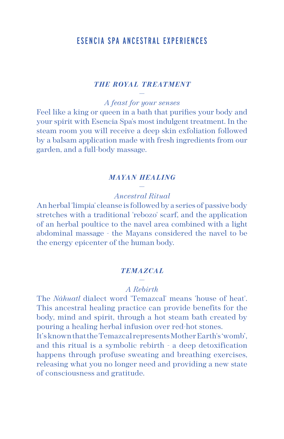# ESENCIA SPA ANCESTRAL EXPERIENCES

## *THE ROYAL TREATMENT* —

*A feast for your senses*

Feel like a king or queen in a bath that purifies your body and your spirit with Esencia Spa's most indulgent treatment. In the steam room you will receive a deep skin exfoliation followed by a balsam application made with fresh ingredients from our garden, and a full-body massage.

## *MAYAN HEAL ING* —

#### *Ancestral Ritual*

An herbal 'limpia' cleanse is followed by a series of passive body stretches with a traditional 'rebozo' scarf, and the application of an herbal poultice to the navel area combined with a light abdominal massage - the Mayans considered the navel to be the energy epicenter of the human body.

#### *TEMAZCAL*

#### — *A Rebirth*

The *Náhuatl* dialect word 'Temazcal' means 'house of heat'. This ancestral healing practice can provide benefits for the body, mind and spirit, through a hot steam bath created by pouring a healing herbal infusion over red-hot stones.

It's known that the Temazcal represents Mother Earth's 'womb', and this ritual is a symbolic rebirth - a deep detoxification happens through profuse sweating and breathing exercises, releasing what you no longer need and providing a new state of consciousness and gratitude.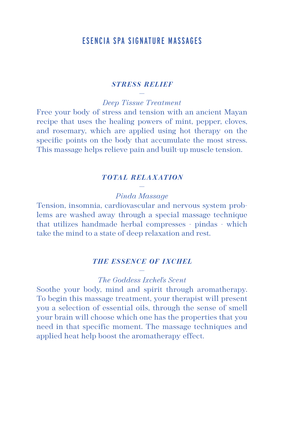# ESENCIA SPA SIGNATURE MASSAGES

## *STRESS RELIEF* —

*Deep Tissue Treatment*

Free your body of stress and tension with an ancient Mayan recipe that uses the healing powers of mint, pepper, cloves, and rosemary, which are applied using hot therapy on the specific points on the body that accumulate the most stress. This massage helps relieve pain and built-up muscle tension.

#### *TOTAL RELAXATION*

#### — *Pinda Massage*

Tension, insomnia, cardiovascular and nervous system problems are washed away through a special massage technique that utilizes handmade herbal compresses - pindas - which take the mind to a state of deep relaxation and rest.

#### *THE ESSENCE OF IXCHEL*

#### — *The Goddess Ixchel's Scent*

Soothe your body, mind and spirit through aromatherapy. To begin this massage treatment, your therapist will present you a selection of essential oils, through the sense of smell your brain will choose which one has the properties that you need in that specific moment. The massage techniques and applied heat help boost the aromatherapy effect.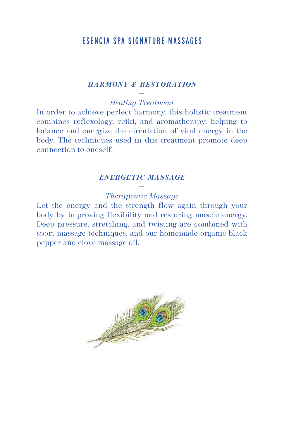# ESENCIA SPA SIGNATURE MASSAGES

#### *HARMONY & RESTORATION*

— *Healing Treatment*

In order to achieve perfect harmony, this holistic treatment combines reflexology, reiki, and aromatherapy, helping to balance and energize the circulation of vital energy in the body. The techniques used in this treatment promote deep connection to oneself.

#### *ENERGETIC MASSAGE*

#### — *Therapeutic Massage*

Let the energy and the strength flow again through your body by improving flexibility and restoring muscle energy. Deep pressure, stretching, and twisting are combined with sport massage techniques, and our homemade organic black pepper and clove massage oil.

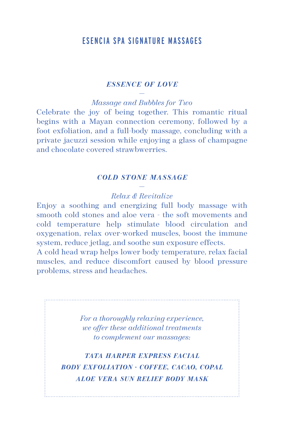# ESENCIA SPA SIGNATURE MASSAGES

## *ESSENCE OF LOVE* —

*Massage and Bubbles for Two*

Celebrate the joy of being together. This romantic ritual begins with a Mayan connection ceremony, followed by a foot exfoliation, and a full-body massage, concluding with a private jacuzzi session while enjoying a glass of champagne and chocolate covered strawbwerries.

#### *COLD STONE MASSAGE*

#### — *Relax & Revitalize*

Enjoy a soothing and energizing full body massage with smooth cold stones and aloe vera - the soft movements and cold temperature help stimulate blood circulation and oxygenation, relax over-worked muscles, boost the immune system, reduce jetlag, and soothe sun exposure effects.

A cold head wrap helps lower body temperature, relax facial muscles, and reduce discomfort caused by blood pressure problems, stress and headaches.

> *For a thoroughly relaxing experience, we offer these additional treatments to complement our massages:*

*TATA HARPER EXPRESS FACIAL BODY EXFOLIATION · COFFEE, CACAO, COPAL ALOE VERA SUN RELIEF BODY MASK*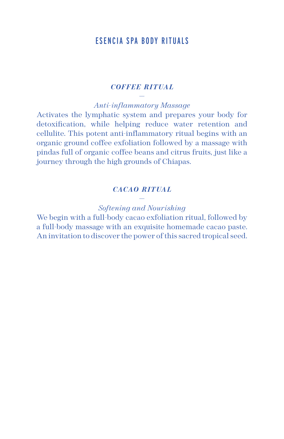# ESENCIA SPA BODY RITUALS

#### *COFFEE RITUAL* —

*Anti-inflammatory Massage*

Activates the lymphatic system and prepares your body for detoxification, while helping reduce water retention and cellulite. This potent anti-inflammatory ritual begins with an organic ground coffee exfoliation followed by a massage with pindas full of organic coffee beans and citrus fruits, just like a journey through the high grounds of Chiapas.

## *CACAO RITUAL* —

#### *Softening and Nourishing*

We begin with a full-body cacao exfoliation ritual, followed by a full-body massage with an exquisite homemade cacao paste. An invitation to discover the power of this sacred tropical seed.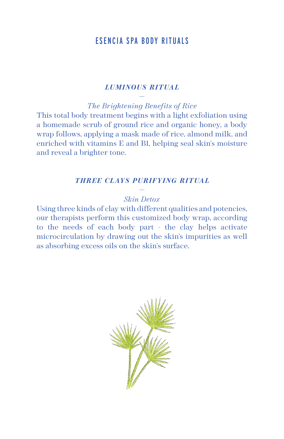# ESENCIA SPA BODY RITUALS

#### *LUMINOUS RITUAL* —

*The Brightening Benefits of Rice*

This total body treatment begins with a light exfoliation using a homemade scrub of ground rice and organic honey, a body wrap follows, applying a mask made of rice, almond milk, and enriched with vitamins E and B1, helping seal skin's moisture and reveal a brighter tone.

## *THREE C LAYS PURIFYING RITUAL*

#### — *Skin Detox*

Using three kinds of clay with different qualities and potencies, our therapists perform this customized body wrap, according to the needs of each body part - the clay helps activate microcirculation by drawing out the skin's impurities as well as absorbing excess oils on the skin's surface.

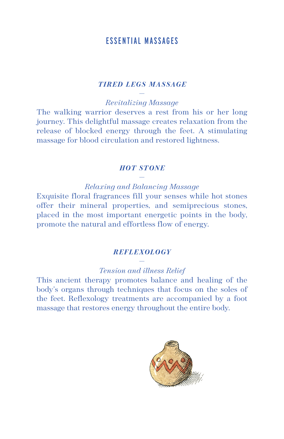# ESSENTIAL MASSAGES

#### *TIRED LEGS MASSAGE*

— *Revitalizing Massage*

The walking warrior deserves a rest from his or her long journey. This delightful massage creates relaxation from the release of blocked energy through the feet. A stimulating massage for blood circulation and restored lightness.

#### *HOT STONE*

— *Relaxing and Balancing Massage*

Exquisite floral fragrances fill your senses while hot stones offer their mineral properties, and semiprecious stones, placed in the most important energetic points in the body, promote the natural and effortless flow of energy.

#### *REFLEXOLOGY* —

#### *Tension and illness Relief*

This ancient therapy promotes balance and healing of the body's organs through techniques that focus on the soles of the feet. Reflexology treatments are accompanied by a foot massage that restores energy throughout the entire body.

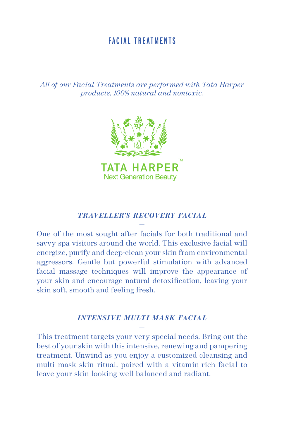# FACIAL TREATMENTS

*All of our Facial Treatments are performed with Tata Harper products, 100% natural and nontoxic.* 



#### *TRAVEL L ER'S RE COVERY FAC IAL* —

One of the most sought after facials for both traditional and savvy spa visitors around the world. This exclusive facial will energize, purify and deep-clean your skin from environmental aggressors. Gentle but powerful stimulation with advanced facial massage techniques will improve the appearance of your skin and encourage natural detoxification, leaving your skin soft, smooth and feeling fresh.

#### *INTENSIVE MULTI MASK FACIAL* —

This treatment targets your very special needs. Bring out the best of your skin with this intensive, renewing and pampering treatment. Unwind as you enjoy a customized cleansing and multi mask skin ritual, paired with a vitamin-rich facial to leave your skin looking well balanced and radiant.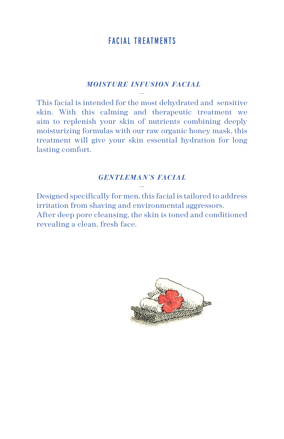# FACIAL TREATMENTS

## *MOISTURE INFUSION FACIAL* —

This facial is intended for the most dehydrated and sensitive skin. With this calming and therapeutic treatment we aim to replenish your skin of nutrients combining deeply moisturizing formulas with our raw organic honey mask, this treatment will give your skin essential hydration for long lasting comfort.

# *GENTLEMAN'S FACIAL* —

Designed specifically for men, this facial is tailored to address irritation from shaving and environmental aggressors. After deep pore cleansing, the skin is toned and conditioned revealing a clean, fresh face.

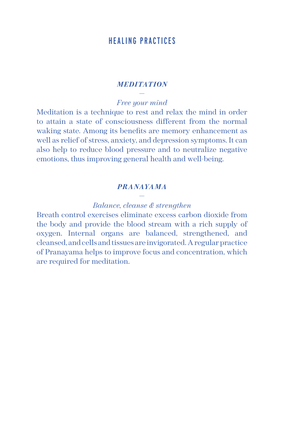# HEALING PRACTICES

## *MEDITATION* —

#### *Free your mind*

Meditation is a technique to rest and relax the mind in order to attain a state of consciousness different from the normal waking state. Among its benefits are memory enhancement as well as relief of stress, anxiety, and depression symptoms. It can also help to reduce blood pressure and to neutralize negative emotions, thus improving general health and well-being.

## *PRANAYAMA* —

#### *Balance, cleanse & strengthen*

Breath control exercises eliminate excess carbon dioxide from the body and provide the blood stream with a rich supply of oxygen. Internal organs are balanced, strengthened, and cleansed, and cells and tissues are invigorated. A regular practice of Pranayama helps to improve focus and concentration, which are required for meditation.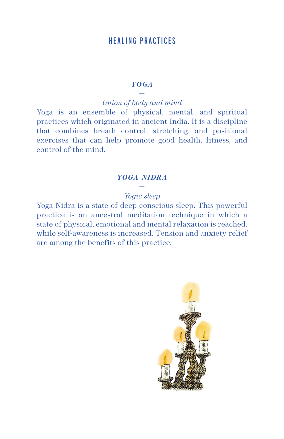# HEALING PRACTICES

## *YOGA* —

*Union of body and mind* 

Yoga is an ensemble of physical, mental, and spiritual practices which originated in ancient India. It is a discipline that combines breath control, stretching, and positional exercises that can help promote good health, fitness, and control of the mind.

# *YOGA NIDRA* —

# *Yogic sleep*

Yoga Nidra is a state of deep conscious sleep. This powerful practice is an ancestral meditation technique in which a state of physical, emotional and mental relaxation is reached, while self-awareness is increased. Tension and anxiety relief are among the benefits of this practice.

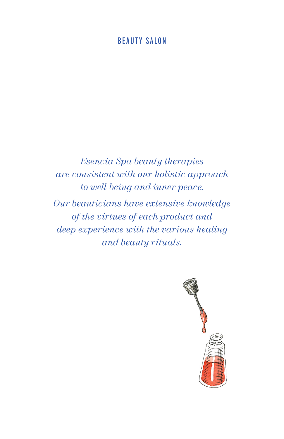# BEAUTY SALON

*Esencia Spa beauty therapies are consistent with our holistic approach to well-being and inner peace.*

*Our beauticians have extensive knowledge of the virtues of each product and deep experience with the various healing and beauty rituals.*

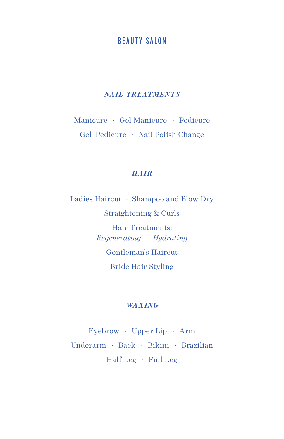# BEAUTY SALON

#### **NAIL TREATMENTS**

Manicure *·* Gel Manicure *·* Pedicure Gel Pedicure *·* Nail Polish Change

## *HAIR*

Ladies Haircut *·* Shampoo and Blow-Dry Straightening & Curls Hair Treatments: *Regenerating · Hydrating* Gentleman's Haircut Bride Hair Styling

#### *WAXING*

Eyebrow *·* Upper Lip *·* Arm Underarm *·* Back *·* Bikini *·* Brazilian Half Leg *·* Full Leg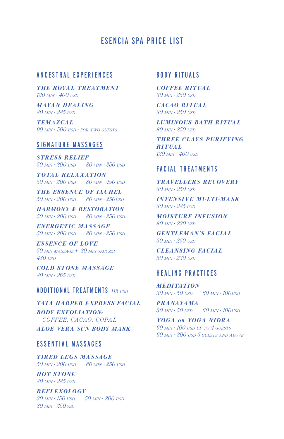# ESENCIA SPA PRICE LIST

#### ANCESTRAL EXPERIENCES

*THE ROYAL TREATMENT 120 min · 400 usd*

*MAYAN HEAL ING 80 min · 285 usd*

*TEMAZCAL*  $90$   $MN \cdot 500$   $USD \cdot FOR$  *TWO GUESTS* 

#### SIGNATURE MASSAGES

*STRESS RELIEF 50 min · 200 usd 80 min · 250 usd*

*TOTAL RELAXATION 50 min · 200 usd 80 min · 250 usd*

*THE ESSENCE OF IXCHEL 50 min · 200 usd 80 min · 250usd*

*HARMONY & RESTORATION 50 min · 200 usd 80 min · 250 usd*

*ENERGETIC MASSAGE 50 min · 200 usd 80 min · 250 usd*

*ESSENCE OF LOVE 50 min massage + 30 min jacuzzi 480 usd*

*COLD STONE MASSAGE 80 min · 265 usd*

#### ADDITIONAL TREATMENTS *<sup>115</sup>usd*

*TATA HARPER EXPRESS FACIAL*

*BODY EXFOLIATION: COFFEE, CACAO, COPAL*

*ALOE VERA SUN BODY MASK*

## ESSENTIAL MASSAGES

*TIRED LEGS MASSAGE 50 min · 200 usd 80 min · 250 usd*

*HOT STONE 80 min · 285 usd*

*REFLEXOLOGY 30 min · 150 usd 50 min · 200 usd 80 min · 250usd*

# BODY RITUALS

*COFFEE RITUAL 80 min · 250 usd*

*CACAO RITUAL 80 min · 250 usd*

*LUMINOUS BATH RITUAL 80 min · 250 usd*

*THREE CLAYS PURIFYING R I T UA L 120 min · 400 usd*

#### FACIAL TREATMENTS

*T R AV E L L E R S R E C OV E RY 80 min · 250 usd*

*INTENSIVE MULTI-MASK 80 min · 285 usd*

*MOISTURE INFUSION 80 min · 230 usd*

*GENTLEMAN'S FACIAL 50 min · 250 usd*

*CLEANSING FACIAL 50 min · 230 usd*

#### HEALING PRACTICES

*MEDITATION 30 min · 50 usd 60 min · 100usd*

*PRANAYAMA 30 min · 50 usd 60 min · 100usd*

*YOGA OR YOGA NIDRA 60 min · 100 usd up to 4 guests 60 min · 300 usd 5 guests and above*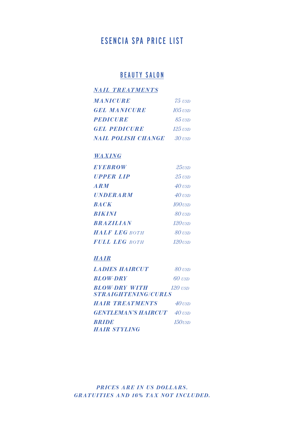# ESENCIA SPA PRICE LIST

# BEAUTY SALON

| <b>NAIL TREATMENTS</b>    |                |
|---------------------------|----------------|
| <b>MANICURE</b>           | $75$ USD       |
| <b>GEL MANICURE</b>       | $105$ usd      |
| <b>PEDICURE</b>           | $85$ USD       |
| <b>GEL PEDICURE</b>       | 125 <i>usd</i> |
| <b>NAIL POLISH CHANGE</b> | $30$ USD       |

#### *WA XING*

| <b>EYEBROW</b>                               | $25$ usd               |
|----------------------------------------------|------------------------|
| <b>UPPER LIP</b>                             | $25$ USD               |
| $\boldsymbol{A}\boldsymbol{R}\boldsymbol{M}$ | $40$ usd               |
| <b>UNDERARM</b>                              | $40$ $\overline{u}$ sd |
| <b>BACK</b>                                  | $100$ <sub>USD</sub>   |
| <b>BIKINI</b>                                | $80$ $\overline{u}$ sd |
| <b>BRAZILIAN</b>                             | $120$ <sub>USD</sub>   |
| <b>HALF LEG</b> BOTH                         | $80$ USD               |
| <b>FULL LEG BOTH</b>                         | $120$ usd              |

## *HAIR*

| <i><b>LADIES HAIRCUT</b></i>                       | $80$ USD             |
|----------------------------------------------------|----------------------|
| <b>BLOW-DRY</b>                                    | $60$ USD             |
| <b>BLOW-DRY WITH</b><br><i>STRAIGHTENING/CURLS</i> | $120$ $\overline{1}$ |
| <i><b>HAIR TREATMENTS</b></i>                      | $40$ USD             |
| <b>GENTLEMAN'S HAIRCUT</b> 40 USD                  |                      |
| <b>BRIDE</b>                                       | $150$ usd            |
| <b>HAIR STYLING</b>                                |                      |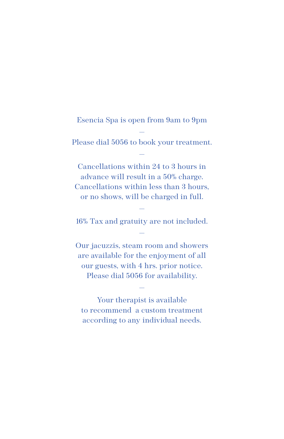# Esencia Spa is open from 9am to 9pm

— Please dial 5056 to book your treatment. —

Cancellations within 24 to 3 hours in advance will result in a 50% charge. Cancellations within less than 3 hours, or no shows, will be charged in full.

— 16% Tax and gratuity are not included. —

Our jacuzzis, steam room and showers are available for the enjoyment of all our guests, with 4 hrs. prior notice. Please dial 5056 for availability.

Your therapist is available to recommend a custom treatment according to any individual needs.

—